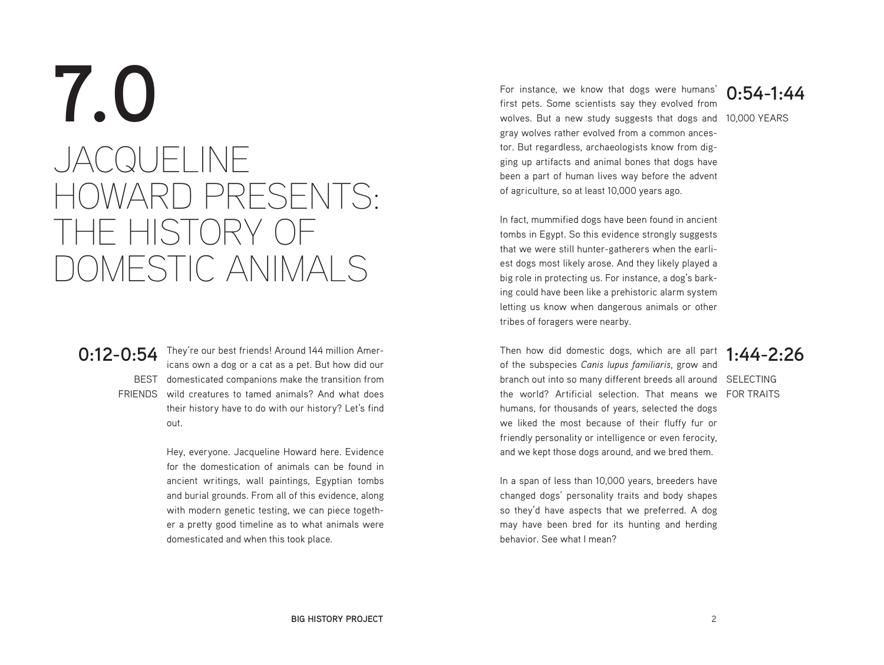# **7.0** JACQUELINE HOWARD PRESENTS: THE HISTORY OF DOMESTIC ANIMALS

**0:12-0:54** They're our best friends! Around 144 million Amer-BEST domesticated companions make the transition from FRIENDS wild creatures to tamed animals? And what does icans own a dog or a cat as a pet. But how did our their history have to do with our history? Let's find out.

> Hey, everyone. Jacqueline Howard here. Evidence for the domestication of animals can be found in ancient writings, wall paintings, Egyptian tombs and burial grounds. From all of this evidence, along with modern genetic testing, we can piece together a pretty good timeline as to what animals were domesticated and when this took place.

wolves. But a new study suggests that dogs and 10,000 YEARS For instance, we know that dogs were humans' first pets. Some scientists say they evolved from gray wolves rather evolved from a common ancestor. But regardless, archaeologists know from digging up artifacts and animal bones that dogs have been a part of human lives way before the advent of agriculture, so at least 10,000 years ago.

**0:54-1:44**

In fact, mummified dogs have been found in ancient tombs in Egypt. So this evidence strongly suggests that we were still hunter-gatherers when the earliest dogs most likely arose. And they likely played a big role in protecting us. For instance, a dog's barking could have been like a prehistoric alarm system letting us know when dangerous animals or other tribes of foragers were nearby.

branch out into so many different breeds all around SELECTING the world? Artificial selection. That means we FORTRAITS Then how did domestic dogs, which are all part of the subspecies *Canis lupus familiaris*, grow and humans, for thousands of years, selected the dogs we liked the most because of their fluffy fur or friendly personality or intelligence or even ferocity, and we kept those dogs around, and we bred them.

### **1:44-2:26**

In a span of less than 10,000 years, breeders have changed dogs' personality traits and body shapes so they'd have aspects that we preferred. A dog may have been bred for its hunting and herding behavior. See what I mean?